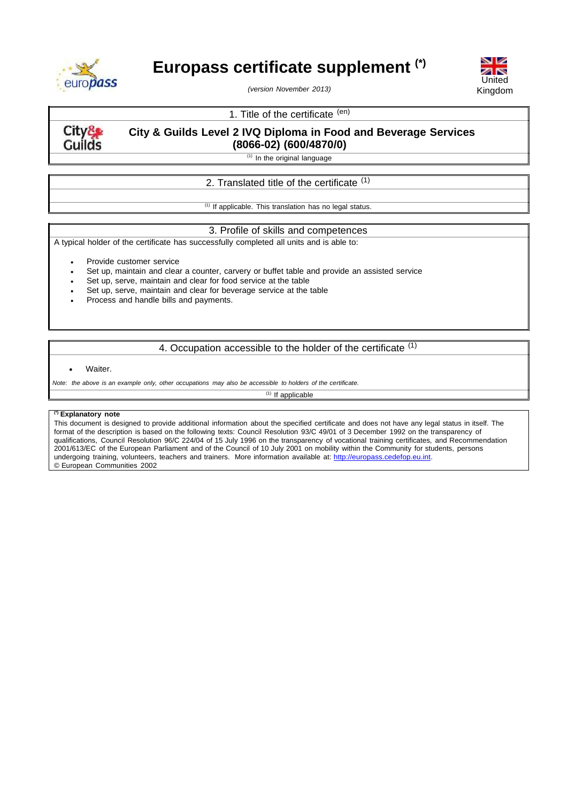

# **Europass certificate supplement (\*)**



*(version November 2013)*

# 1. Title of the certificate (en)

City& **Guilds**  **City & Guilds Level 2 IVQ Diploma in Food and Beverage Services (8066-02) (600/4870/0)**

 $(1)$  In the original language

# 2. Translated title of the certificate <sup>(1)</sup>

 $(1)$  If applicable. This translation has no legal status.

## 3. Profile of skills and competences

A typical holder of the certificate has successfully completed all units and is able to:

Provide customer service

- Set up, maintain and clear a counter, carvery or buffet table and provide an assisted service
- Set up, serve, maintain and clear for food service at the table
- Set up, serve, maintain and clear for beverage service at the table
- Process and handle bills and payments.

# 4. Occupation accessible to the holder of the certificate (1)

#### Waiter.

Note: the above is an example only, other occupations may also be accessible to holders of the certificate.

 $(1)$  If applicable

## **(\*) Explanatory note**

This document is designed to provide additional information about the specified certificate and does not have any legal status in itself. The format of the description is based on the following texts: Council Resolution 93/C 49/01 of 3 December 1992 on the transparency of qualifications, Council Resolution 96/C 224/04 of 15 July 1996 on the transparency of vocational training certificates, and Recommendation 2001/613/EC of the European Parliament and of the Council of 10 July 2001 on mobility within the Community for students, persons undergoing training, volunteers, teachers and trainers. More information available at: [http://europass.cedefop.eu.int.](http://europass.cedefop.eu.int/) © European Communities 2002